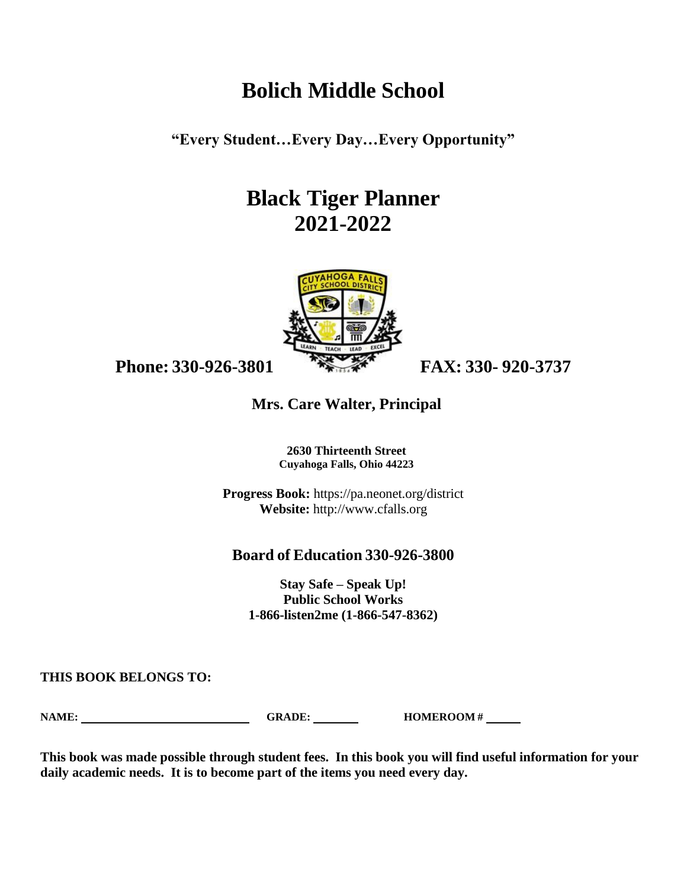# **Bolich Middle School**

**"Every Student…Every Day…Every Opportunity"**

# **Black Tiger Planner 2021-2022**



**Phone: 330-926-3801 FAX: 330- 920-3737**

# **Mrs. Care Walter, Principal**

**2630 Thirteenth Street Cuyahoga Falls, Ohio 44223**

**Progress Book:** https://pa.neonet.org/district **Website:** [http://www.cfalls.org](http://www.cfalls.org/)

# **Board of Education 330-926-3800**

**Stay Safe – Speak Up! Public School Works 1-866-listen2me (1-866-547-8362)**

**THIS BOOK BELONGS TO:**

**NAME: GRADE: HOMEROOM #** 

**This book was made possible through student fees. In this book you will find useful information for your daily academic needs. It is to become part of the items you need every day.**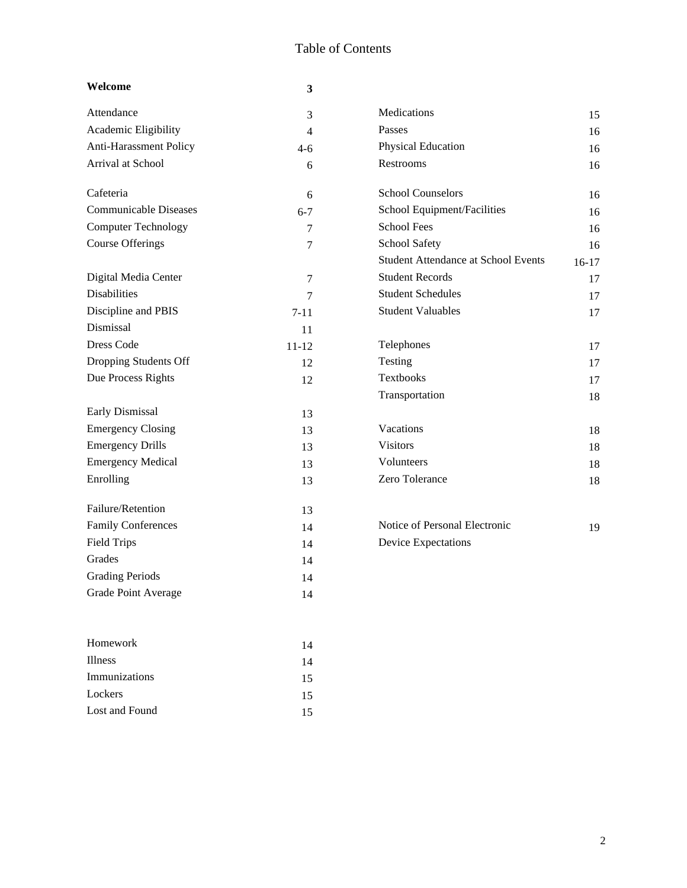# Table of Contents

| Welcome                      | 3              |                                            |         |
|------------------------------|----------------|--------------------------------------------|---------|
| Attendance                   | 3              | Medications                                | 15      |
| Academic Eligibility         | $\overline{4}$ | Passes                                     | 16      |
| Anti-Harassment Policy       | $4 - 6$        | Physical Education                         | 16      |
| Arrival at School            | 6              | Restrooms                                  | 16      |
| Cafeteria                    | 6              | <b>School Counselors</b>                   | 16      |
| <b>Communicable Diseases</b> | $6 - 7$        | School Equipment/Facilities                | 16      |
| <b>Computer Technology</b>   | 7              | <b>School Fees</b>                         | 16      |
| <b>Course Offerings</b>      | 7              | School Safety                              | 16      |
|                              |                | <b>Student Attendance at School Events</b> | $16-17$ |
| Digital Media Center         | 7              | <b>Student Records</b>                     | 17      |
| <b>Disabilities</b>          | 7              | <b>Student Schedules</b>                   | 17      |
| Discipline and PBIS          | $7 - 11$       | <b>Student Valuables</b>                   | 17      |
| Dismissal                    | 11             |                                            |         |
| Dress Code                   | $11 - 12$      | Telephones                                 | 17      |
| Dropping Students Off        | 12             | Testing                                    | 17      |
| Due Process Rights           | 12             | <b>Textbooks</b>                           | 17      |
|                              |                | Transportation                             | 18      |
| Early Dismissal              | 13             |                                            |         |
| <b>Emergency Closing</b>     | 13             | Vacations                                  | 18      |
| <b>Emergency Drills</b>      | 13             | <b>Visitors</b>                            | 18      |
| <b>Emergency Medical</b>     | 13             | Volunteers                                 | 18      |
| Enrolling                    | 13             | Zero Tolerance                             | 18      |
| Failure/Retention            | 13             |                                            |         |
| <b>Family Conferences</b>    | 14             | Notice of Personal Electronic              | 19      |
| <b>Field Trips</b>           | 14             | Device Expectations                        |         |
| Grades                       | 14             |                                            |         |
| <b>Grading Periods</b>       | 14             |                                            |         |
| <b>Grade Point Average</b>   | 14             |                                            |         |
| Homework                     | 14             |                                            |         |
| <b>Illness</b>               | 14             |                                            |         |
| Immunizations                | 15             |                                            |         |

Lockers 15 Lost and Found 15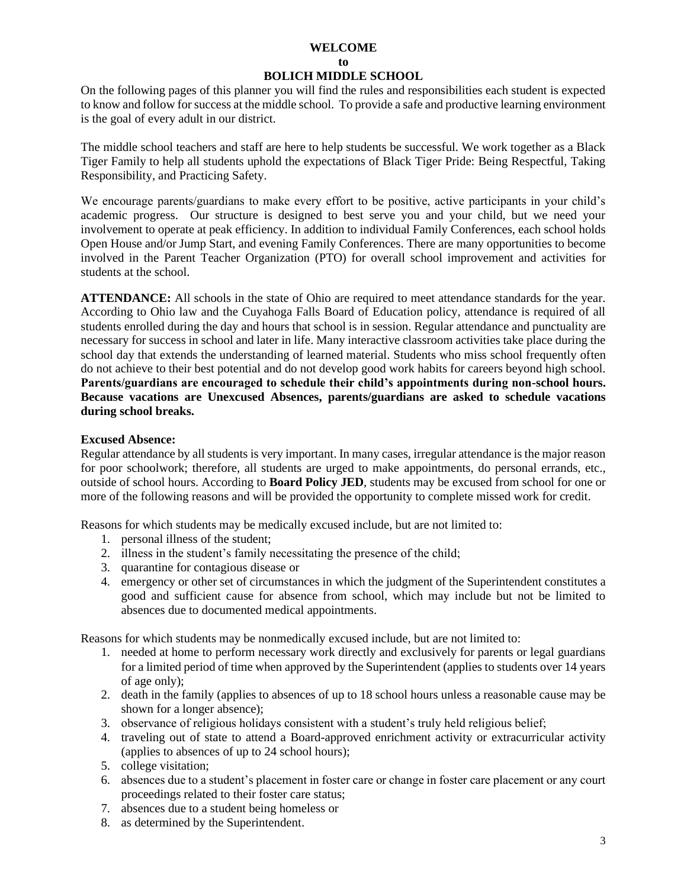#### **WELCOME**

#### **to**

#### **BOLICH MIDDLE SCHOOL**

On the following pages of this planner you will find the rules and responsibilities each student is expected to know and follow for success at the middle school. To provide a safe and productive learning environment is the goal of every adult in our district.

The middle school teachers and staff are here to help students be successful. We work together as a Black Tiger Family to help all students uphold the expectations of Black Tiger Pride: Being Respectful, Taking Responsibility, and Practicing Safety.

We encourage parents/guardians to make every effort to be positive, active participants in your child's academic progress. Our structure is designed to best serve you and your child, but we need your involvement to operate at peak efficiency. In addition to individual Family Conferences, each school holds Open House and/or Jump Start, and evening Family Conferences. There are many opportunities to become involved in the Parent Teacher Organization (PTO) for overall school improvement and activities for students at the school.

**ATTENDANCE:** All schools in the state of Ohio are required to meet attendance standards for the year. According to Ohio law and the Cuyahoga Falls Board of Education policy, attendance is required of all students enrolled during the day and hours that school is in session. Regular attendance and punctuality are necessary for success in school and later in life. Many interactive classroom activities take place during the school day that extends the understanding of learned material. Students who miss school frequently often do not achieve to their best potential and do not develop good work habits for careers beyond high school. **Parents/guardians are encouraged to schedule their child's appointments during non-school hours. Because vacations are Unexcused Absences, parents/guardians are asked to schedule vacations during school breaks.**

#### **Excused Absence:**

Regular attendance by all students is very important. In many cases, irregular attendance is the major reason for poor schoolwork; therefore, all students are urged to make appointments, do personal errands, etc., outside of school hours. According to **Board Policy JED**, students may be excused from school for one or more of the following reasons and will be provided the opportunity to complete missed work for credit.

Reasons for which students may be medically excused include, but are not limited to:

- 1. personal illness of the student;
- 2. illness in the student's family necessitating the presence of the child;
- 3. quarantine for contagious disease or
- 4. emergency or other set of circumstances in which the judgment of the Superintendent constitutes a good and sufficient cause for absence from school, which may include but not be limited to absences due to documented medical appointments.

Reasons for which students may be nonmedically excused include, but are not limited to:

- 1. needed at home to perform necessary work directly and exclusively for parents or legal guardians for a limited period of time when approved by the Superintendent (applies to students over 14 years of age only);
- 2. death in the family (applies to absences of up to 18 school hours unless a reasonable cause may be shown for a longer absence);
- 3. observance of religious holidays consistent with a student's truly held religious belief;
- 4. traveling out of state to attend a Board-approved enrichment activity or extracurricular activity (applies to absences of up to 24 school hours);
- 5. college visitation;
- 6. absences due to a student's placement in foster care or change in foster care placement or any court proceedings related to their foster care status;
- 7. absences due to a student being homeless or
- 8. as determined by the Superintendent.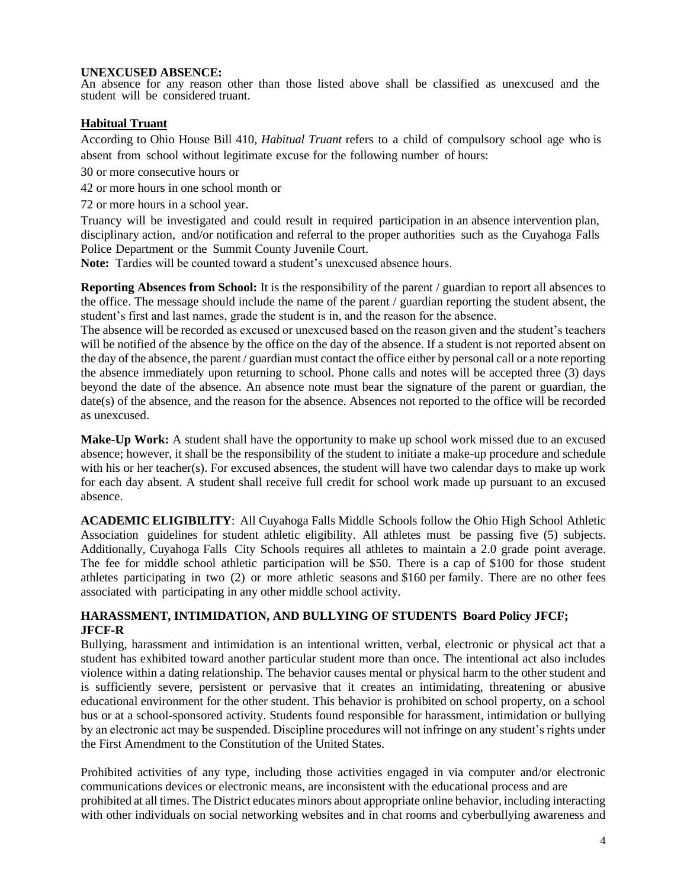#### **UNEXCUSED ABSENCE:**

An absence for any reason other than those listed above shall be classified as unexcused and the student will be considered truant.

# **Habitual Truant**

According to Ohio House Bill 410, *Habitual Truant* refers to a child of compulsory school age who is absent from school without legitimate excuse for the following number of hours:

30 or more consecutive hours or

42 or more hours in one school month or

72 or more hours in a school year.

Truancy will be investigated and could result in required participation in an absence intervention plan, disciplinary action, and/or notification and referral to the proper authorities such as the Cuyahoga Falls Police Department or the Summit County Juvenile Court.

**Note:** Tardies will be counted toward a student's unexcused absence hours.

**Reporting Absences from School:** It is the responsibility of the parent / guardian to report all absences to the office. The message should include the name of the parent / guardian reporting the student absent, the student's first and last names, grade the student is in, and the reason for the absence.

The absence will be recorded as excused or unexcused based on the reason given and the student's teachers will be notified of the absence by the office on the day of the absence. If a student is not reported absent on the day of the absence, the parent / guardian must contact the office either by personal call or a note reporting the absence immediately upon returning to school. Phone calls and notes will be accepted three (3) days beyond the date of the absence. An absence note must bear the signature of the parent or guardian, the date(s) of the absence, and the reason for the absence. Absences not reported to the office will be recorded as unexcused.

**Make-Up Work:** A student shall have the opportunity to make up school work missed due to an excused absence; however, it shall be the responsibility of the student to initiate a make-up procedure and schedule with his or her teacher(s). For excused absences, the student will have two calendar days to make up work for each day absent. A student shall receive full credit for school work made up pursuant to an excused absence.

**ACADEMIC ELIGIBILITY**: All Cuyahoga Falls Middle Schools follow the Ohio High School Athletic Association guidelines for student athletic eligibility. All athletes must be passing five (5) subjects. Additionally, Cuyahoga Falls City Schools requires all athletes to maintain a 2.0 grade point average. The fee for middle school athletic participation will be \$50. There is a cap of \$100 for those student athletes participating in two (2) or more athletic seasons and \$160 per family. There are no other fees associated with participating in any other middle school activity.

# **HARASSMENT, INTIMIDATION, AND BULLYING OF STUDENTS Board Policy JFCF; JFCF-R**

Bullying, harassment and intimidation is an intentional written, verbal, electronic or physical act that a student has exhibited toward another particular student more than once. The intentional act also includes violence within a dating relationship. The behavior causes mental or physical harm to the other student and is sufficiently severe, persistent or pervasive that it creates an intimidating, threatening or abusive educational environment for the other student. This behavior is prohibited on school property, on a school bus or at a school-sponsored activity. Students found responsible for harassment, intimidation or bullying by an electronic act may be suspended. Discipline procedures will not infringe on any student's rights under the First Amendment to the Constitution of the United States.

Prohibited activities of any type, including those activities engaged in via computer and/or electronic communications devices or electronic means, are inconsistent with the educational process and are prohibited at all times. The District educates minors about appropriate online behavior, including interacting with other individuals on social networking websites and in chat rooms and cyberbullying awareness and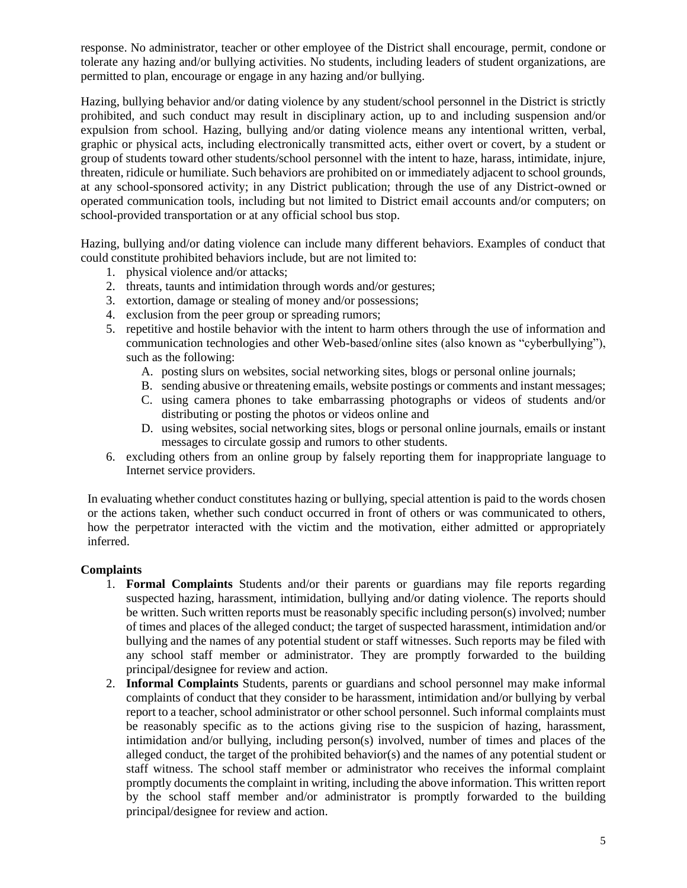response. No administrator, teacher or other employee of the District shall encourage, permit, condone or tolerate any hazing and/or bullying activities. No students, including leaders of student organizations, are permitted to plan, encourage or engage in any hazing and/or bullying.

Hazing, bullying behavior and/or dating violence by any student/school personnel in the District is strictly prohibited, and such conduct may result in disciplinary action, up to and including suspension and/or expulsion from school. Hazing, bullying and/or dating violence means any intentional written, verbal, graphic or physical acts, including electronically transmitted acts, either overt or covert, by a student or group of students toward other students/school personnel with the intent to haze, harass, intimidate, injure, threaten, ridicule or humiliate. Such behaviors are prohibited on or immediately adjacent to school grounds, at any school-sponsored activity; in any District publication; through the use of any District-owned or operated communication tools, including but not limited to District email accounts and/or computers; on school-provided transportation or at any official school bus stop.

Hazing, bullying and/or dating violence can include many different behaviors. Examples of conduct that could constitute prohibited behaviors include, but are not limited to:

- 1. physical violence and/or attacks;
- 2. threats, taunts and intimidation through words and/or gestures;
- 3. extortion, damage or stealing of money and/or possessions;
- 4. exclusion from the peer group or spreading rumors;
- 5. repetitive and hostile behavior with the intent to harm others through the use of information and communication technologies and other Web-based/online sites (also known as "cyberbullying"), such as the following:
	- A. posting slurs on websites, social networking sites, blogs or personal online journals;
	- B. sending abusive or threatening emails, website postings or comments and instant messages;
	- C. using camera phones to take embarrassing photographs or videos of students and/or distributing or posting the photos or videos online and
	- D. using websites, social networking sites, blogs or personal online journals, emails or instant messages to circulate gossip and rumors to other students.
- 6. excluding others from an online group by falsely reporting them for inappropriate language to Internet service providers.

In evaluating whether conduct constitutes hazing or bullying, special attention is paid to the words chosen or the actions taken, whether such conduct occurred in front of others or was communicated to others, how the perpetrator interacted with the victim and the motivation, either admitted or appropriately inferred.

# **Complaints**

- 1. **Formal Complaints** Students and/or their parents or guardians may file reports regarding suspected hazing, harassment, intimidation, bullying and/or dating violence. The reports should be written. Such written reports must be reasonably specific including person(s) involved; number of times and places of the alleged conduct; the target of suspected harassment, intimidation and/or bullying and the names of any potential student or staff witnesses. Such reports may be filed with any school staff member or administrator. They are promptly forwarded to the building principal/designee for review and action.
- 2. **Informal Complaints** Students, parents or guardians and school personnel may make informal complaints of conduct that they consider to be harassment, intimidation and/or bullying by verbal report to a teacher, school administrator or other school personnel. Such informal complaints must be reasonably specific as to the actions giving rise to the suspicion of hazing, harassment, intimidation and/or bullying, including person(s) involved, number of times and places of the alleged conduct, the target of the prohibited behavior(s) and the names of any potential student or staff witness. The school staff member or administrator who receives the informal complaint promptly documents the complaint in writing, including the above information. This written report by the school staff member and/or administrator is promptly forwarded to the building principal/designee for review and action.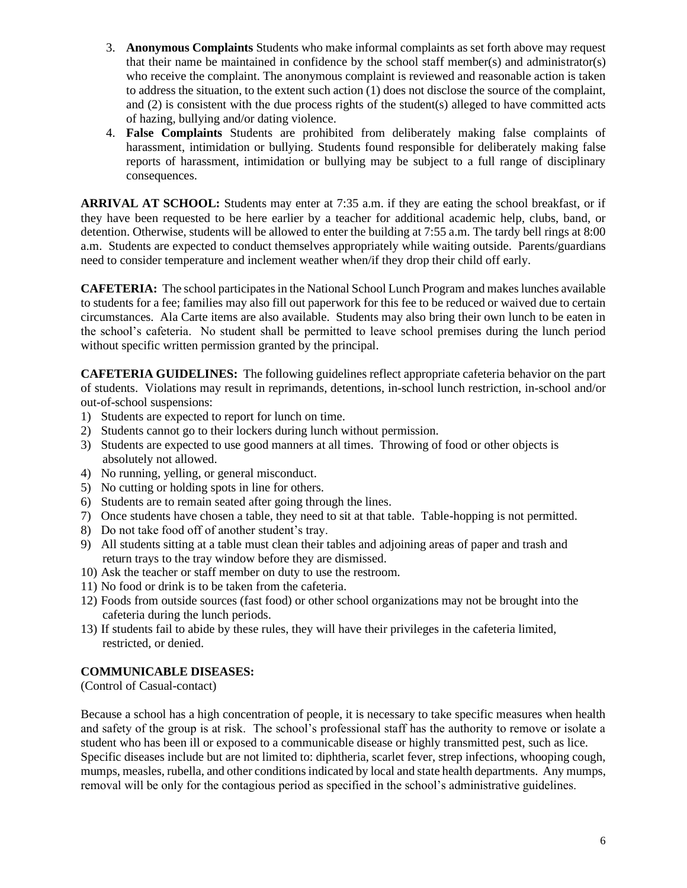- 3. **Anonymous Complaints** Students who make informal complaints as set forth above may request that their name be maintained in confidence by the school staff member(s) and administrator(s) who receive the complaint. The anonymous complaint is reviewed and reasonable action is taken to address the situation, to the extent such action (1) does not disclose the source of the complaint, and (2) is consistent with the due process rights of the student(s) alleged to have committed acts of hazing, bullying and/or dating violence.
- 4. **False Complaints** Students are prohibited from deliberately making false complaints of harassment, intimidation or bullying. Students found responsible for deliberately making false reports of harassment, intimidation or bullying may be subject to a full range of disciplinary consequences.

**ARRIVAL AT SCHOOL:** Students may enter at 7:35 a.m. if they are eating the school breakfast, or if they have been requested to be here earlier by a teacher for additional academic help, clubs, band, or detention. Otherwise, students will be allowed to enter the building at 7:55 a.m. The tardy bell rings at 8:00 a.m. Students are expected to conduct themselves appropriately while waiting outside. Parents/guardians need to consider temperature and inclement weather when/if they drop their child off early.

**CAFETERIA:** The school participates in the National School Lunch Program and makes lunches available to students for a fee; families may also fill out paperwork for this fee to be reduced or waived due to certain circumstances. Ala Carte items are also available. Students may also bring their own lunch to be eaten in the school's cafeteria. No student shall be permitted to leave school premises during the lunch period without specific written permission granted by the principal.

**CAFETERIA GUIDELINES:** The following guidelines reflect appropriate cafeteria behavior on the part of students. Violations may result in reprimands, detentions, in-school lunch restriction, in-school and/or out-of-school suspensions:

- 1) Students are expected to report for lunch on time.
- 2) Students cannot go to their lockers during lunch without permission.
- 3) Students are expected to use good manners at all times. Throwing of food or other objects is absolutely not allowed.
- 4) No running, yelling, or general misconduct.
- 5) No cutting or holding spots in line for others.
- 6) Students are to remain seated after going through the lines.
- 7) Once students have chosen a table, they need to sit at that table. Table-hopping is not permitted.
- 8) Do not take food off of another student's tray.
- 9) All students sitting at a table must clean their tables and adjoining areas of paper and trash and return trays to the tray window before they are dismissed.
- 10) Ask the teacher or staff member on duty to use the restroom.
- 11) No food or drink is to be taken from the cafeteria.
- 12) Foods from outside sources (fast food) or other school organizations may not be brought into the cafeteria during the lunch periods.
- 13) If students fail to abide by these rules, they will have their privileges in the cafeteria limited, restricted, or denied.

# **COMMUNICABLE DISEASES:**

(Control of Casual-contact)

Because a school has a high concentration of people, it is necessary to take specific measures when health and safety of the group is at risk. The school's professional staff has the authority to remove or isolate a student who has been ill or exposed to a communicable disease or highly transmitted pest, such as lice. Specific diseases include but are not limited to: diphtheria, scarlet fever, strep infections, whooping cough, mumps, measles, rubella, and other conditions indicated by local and state health departments. Any mumps, removal will be only for the contagious period as specified in the school's administrative guidelines.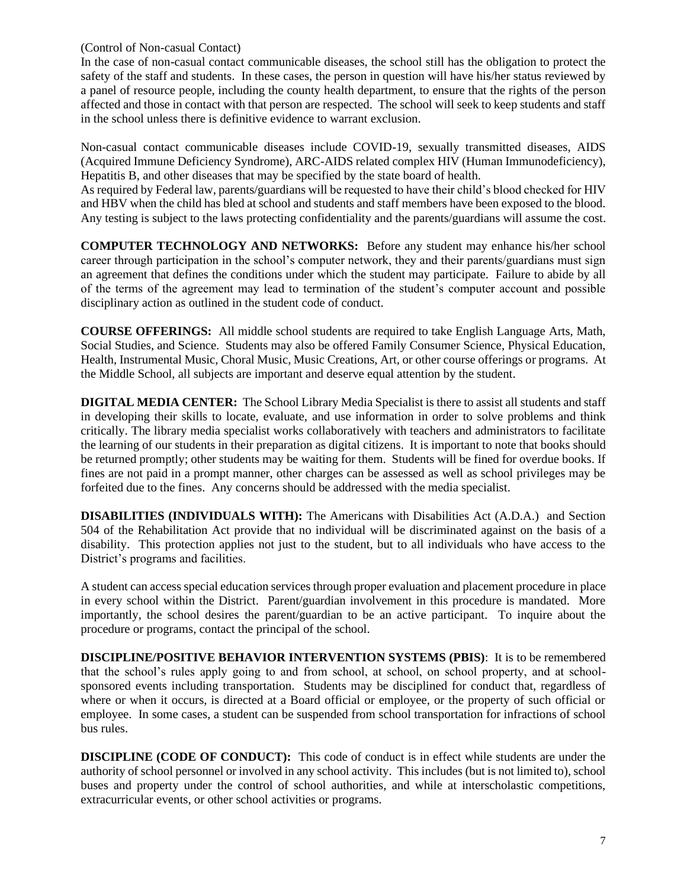(Control of Non-casual Contact)

In the case of non-casual contact communicable diseases, the school still has the obligation to protect the safety of the staff and students. In these cases, the person in question will have his/her status reviewed by a panel of resource people, including the county health department, to ensure that the rights of the person affected and those in contact with that person are respected. The school will seek to keep students and staff in the school unless there is definitive evidence to warrant exclusion.

Non-casual contact communicable diseases include COVID-19, sexually transmitted diseases, AIDS (Acquired Immune Deficiency Syndrome), ARC-AIDS related complex HIV (Human Immunodeficiency), Hepatitis B, and other diseases that may be specified by the state board of health.

As required by Federal law, parents/guardians will be requested to have their child's blood checked for HIV and HBV when the child has bled at school and students and staff members have been exposed to the blood. Any testing is subject to the laws protecting confidentiality and the parents/guardians will assume the cost.

**COMPUTER TECHNOLOGY AND NETWORKS:** Before any student may enhance his/her school career through participation in the school's computer network, they and their parents/guardians must sign an agreement that defines the conditions under which the student may participate. Failure to abide by all of the terms of the agreement may lead to termination of the student's computer account and possible disciplinary action as outlined in the student code of conduct.

**COURSE OFFERINGS:** All middle school students are required to take English Language Arts, Math, Social Studies, and Science. Students may also be offered Family Consumer Science, Physical Education, Health, Instrumental Music, Choral Music, Music Creations, Art, or other course offerings or programs. At the Middle School, all subjects are important and deserve equal attention by the student.

**DIGITAL MEDIA CENTER:** The School Library Media Specialist is there to assist all students and staff in developing their skills to locate, evaluate, and use information in order to solve problems and think critically. The library media specialist works collaboratively with teachers and administrators to facilitate the learning of our students in their preparation as digital citizens. It is important to note that books should be returned promptly; other students may be waiting for them. Students will be fined for overdue books. If fines are not paid in a prompt manner, other charges can be assessed as well as school privileges may be forfeited due to the fines. Any concerns should be addressed with the media specialist.

**DISABILITIES (INDIVIDUALS WITH):** The Americans with Disabilities Act (A.D.A.) and Section 504 of the Rehabilitation Act provide that no individual will be discriminated against on the basis of a disability. This protection applies not just to the student, but to all individuals who have access to the District's programs and facilities.

A student can access special education services through proper evaluation and placement procedure in place in every school within the District. Parent/guardian involvement in this procedure is mandated. More importantly, the school desires the parent/guardian to be an active participant. To inquire about the procedure or programs, contact the principal of the school.

**DISCIPLINE/POSITIVE BEHAVIOR INTERVENTION SYSTEMS (PBIS)**: It is to be remembered that the school's rules apply going to and from school, at school, on school property, and at schoolsponsored events including transportation. Students may be disciplined for conduct that, regardless of where or when it occurs, is directed at a Board official or employee, or the property of such official or employee. In some cases, a student can be suspended from school transportation for infractions of school bus rules.

**DISCIPLINE (CODE OF CONDUCT):** This code of conduct is in effect while students are under the authority of school personnel or involved in any school activity. This includes (but is not limited to), school buses and property under the control of school authorities, and while at interscholastic competitions, extracurricular events, or other school activities or programs.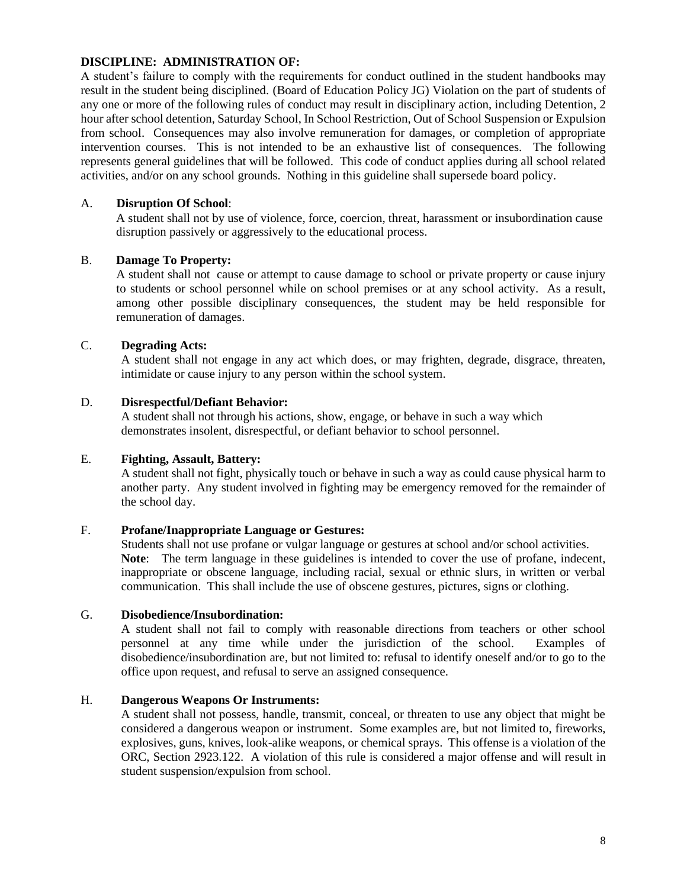# **DISCIPLINE: ADMINISTRATION OF:**

A student's failure to comply with the requirements for conduct outlined in the student handbooks may result in the student being disciplined. (Board of Education Policy JG) Violation on the part of students of any one or more of the following rules of conduct may result in disciplinary action, including Detention, 2 hour after school detention, Saturday School, In School Restriction, Out of School Suspension or Expulsion from school. Consequences may also involve remuneration for damages, or completion of appropriate intervention courses. This is not intended to be an exhaustive list of consequences. The following represents general guidelines that will be followed. This code of conduct applies during all school related activities, and/or on any school grounds. Nothing in this guideline shall supersede board policy.

# A. **Disruption Of School**:

A student shall not by use of violence, force, coercion, threat, harassment or insubordination cause disruption passively or aggressively to the educational process.

# B. **Damage To Property:**

A student shall not cause or attempt to cause damage to school or private property or cause injury to students or school personnel while on school premises or at any school activity. As a result, among other possible disciplinary consequences, the student may be held responsible for remuneration of damages.

# C. **Degrading Acts:**

A student shall not engage in any act which does, or may frighten, degrade, disgrace, threaten, intimidate or cause injury to any person within the school system.

# D. **Disrespectful/Defiant Behavior:**

A student shall not through his actions, show, engage, or behave in such a way which demonstrates insolent, disrespectful, or defiant behavior to school personnel.

# E. **Fighting, Assault, Battery:**

A student shall not fight, physically touch or behave in such a way as could cause physical harm to another party. Any student involved in fighting may be emergency removed for the remainder of the school day.

# F. **Profane/Inappropriate Language or Gestures:**

Students shall not use profane or vulgar language or gestures at school and/or school activities. **Note**: The term language in these guidelines is intended to cover the use of profane, indecent, inappropriate or obscene language, including racial, sexual or ethnic slurs, in written or verbal communication. This shall include the use of obscene gestures, pictures, signs or clothing.

# G. **Disobedience/Insubordination:**

A student shall not fail to comply with reasonable directions from teachers or other school personnel at any time while under the jurisdiction of the school. Examples of disobedience/insubordination are, but not limited to: refusal to identify oneself and/or to go to the office upon request, and refusal to serve an assigned consequence.

# H. **Dangerous Weapons Or Instruments:**

A student shall not possess, handle, transmit, conceal, or threaten to use any object that might be considered a dangerous weapon or instrument. Some examples are, but not limited to, fireworks, explosives, guns, knives, look-alike weapons, or chemical sprays. This offense is a violation of the ORC, Section 2923.122. A violation of this rule is considered a major offense and will result in student suspension/expulsion from school.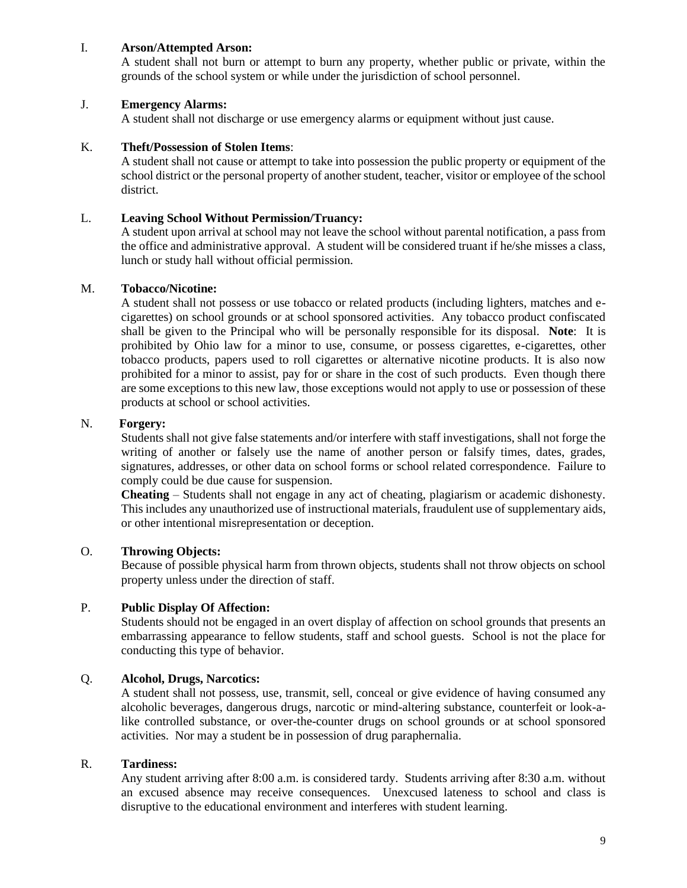# I. **Arson/Attempted Arson:**

A student shall not burn or attempt to burn any property, whether public or private, within the grounds of the school system or while under the jurisdiction of school personnel.

# J. **Emergency Alarms:**

A student shall not discharge or use emergency alarms or equipment without just cause.

# K. **Theft/Possession of Stolen Items**:

A student shall not cause or attempt to take into possession the public property or equipment of the school district or the personal property of another student, teacher, visitor or employee of the school district.

# L. **Leaving School Without Permission/Truancy:**

A student upon arrival at school may not leave the school without parental notification, a pass from the office and administrative approval. A student will be considered truant if he/she misses a class, lunch or study hall without official permission.

#### M. **Tobacco/Nicotine:**

A student shall not possess or use tobacco or related products (including lighters, matches and ecigarettes) on school grounds or at school sponsored activities. Any tobacco product confiscated shall be given to the Principal who will be personally responsible for its disposal. **Note**: It is prohibited by Ohio law for a minor to use, consume, or possess cigarettes, e-cigarettes, other tobacco products, papers used to roll cigarettes or alternative nicotine products. It is also now prohibited for a minor to assist, pay for or share in the cost of such products. Even though there are some exceptions to this new law, those exceptions would not apply to use or possession of these products at school or school activities.

# N. **Forgery:**

Students shall not give false statements and/or interfere with staff investigations, shall not forge the writing of another or falsely use the name of another person or falsify times, dates, grades, signatures, addresses, or other data on school forms or school related correspondence. Failure to comply could be due cause for suspension.

**Cheating** – Students shall not engage in any act of cheating, plagiarism or academic dishonesty. This includes any unauthorized use of instructional materials, fraudulent use of supplementary aids, or other intentional misrepresentation or deception.

# O. **Throwing Objects:**

Because of possible physical harm from thrown objects, students shall not throw objects on school property unless under the direction of staff.

# P. **Public Display Of Affection:**

Students should not be engaged in an overt display of affection on school grounds that presents an embarrassing appearance to fellow students, staff and school guests. School is not the place for conducting this type of behavior.

# Q. **Alcohol, Drugs, Narcotics:**

A student shall not possess, use, transmit, sell, conceal or give evidence of having consumed any alcoholic beverages, dangerous drugs, narcotic or mind-altering substance, counterfeit or look-alike controlled substance, or over-the-counter drugs on school grounds or at school sponsored activities. Nor may a student be in possession of drug paraphernalia.

#### R. **Tardiness:**

Any student arriving after 8:00 a.m. is considered tardy. Students arriving after 8:30 a.m. without an excused absence may receive consequences. Unexcused lateness to school and class is disruptive to the educational environment and interferes with student learning.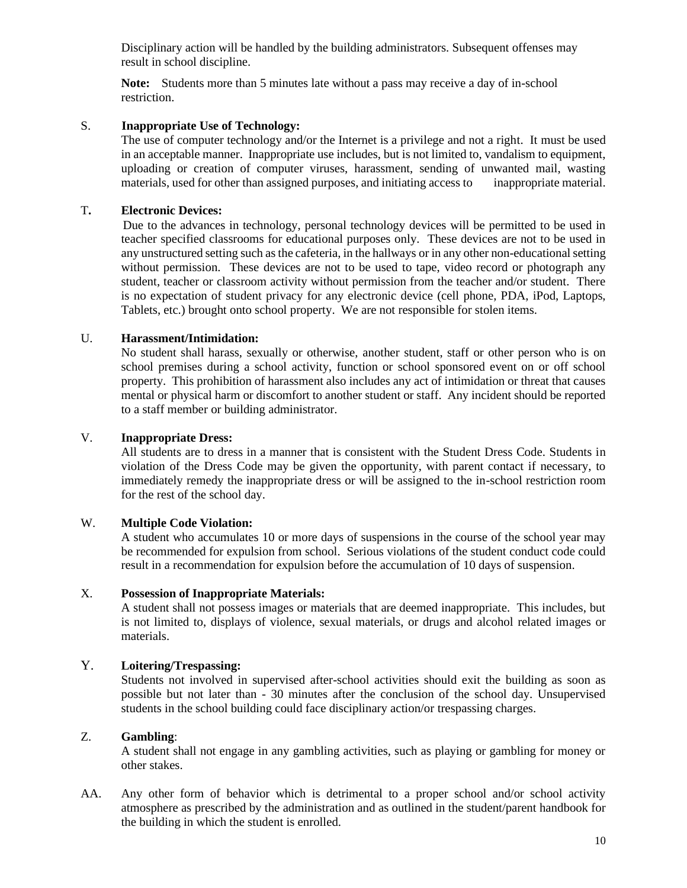Disciplinary action will be handled by the building administrators. Subsequent offenses may result in school discipline.

**Note:** Students more than 5 minutes late without a pass may receive a day of in-school restriction.

# S. **Inappropriate Use of Technology:**

The use of computer technology and/or the Internet is a privilege and not a right. It must be used in an acceptable manner. Inappropriate use includes, but is not limited to, vandalism to equipment, uploading or creation of computer viruses, harassment, sending of unwanted mail, wasting materials, used for other than assigned purposes, and initiating access to inappropriate material.

# T**. Electronic Devices:**

Due to the advances in technology, personal technology devices will be permitted to be used in teacher specified classrooms for educational purposes only. These devices are not to be used in any unstructured setting such as the cafeteria, in the hallways or in any other non-educational setting without permission. These devices are not to be used to tape, video record or photograph any student, teacher or classroom activity without permission from the teacher and/or student. There is no expectation of student privacy for any electronic device (cell phone, PDA, iPod, Laptops, Tablets, etc.) brought onto school property. We are not responsible for stolen items.

# U. **Harassment/Intimidation:**

No student shall harass, sexually or otherwise, another student, staff or other person who is on school premises during a school activity, function or school sponsored event on or off school property. This prohibition of harassment also includes any act of intimidation or threat that causes mental or physical harm or discomfort to another student or staff. Any incident should be reported to a staff member or building administrator.

# V. **Inappropriate Dress:**

All students are to dress in a manner that is consistent with the Student Dress Code. Students in violation of the Dress Code may be given the opportunity, with parent contact if necessary, to immediately remedy the inappropriate dress or will be assigned to the in-school restriction room for the rest of the school day.

# W. **Multiple Code Violation:**

A student who accumulates 10 or more days of suspensions in the course of the school year may be recommended for expulsion from school. Serious violations of the student conduct code could result in a recommendation for expulsion before the accumulation of 10 days of suspension.

# X. **Possession of Inappropriate Materials:**

A student shall not possess images or materials that are deemed inappropriate. This includes, but is not limited to, displays of violence, sexual materials, or drugs and alcohol related images or materials.

# Y. **Loitering/Trespassing:**

Students not involved in supervised after-school activities should exit the building as soon as possible but not later than - 30 minutes after the conclusion of the school day. Unsupervised students in the school building could face disciplinary action/or trespassing charges.

# Z. **Gambling**:

A student shall not engage in any gambling activities, such as playing or gambling for money or other stakes.

AA. Any other form of behavior which is detrimental to a proper school and/or school activity atmosphere as prescribed by the administration and as outlined in the student/parent handbook for the building in which the student is enrolled.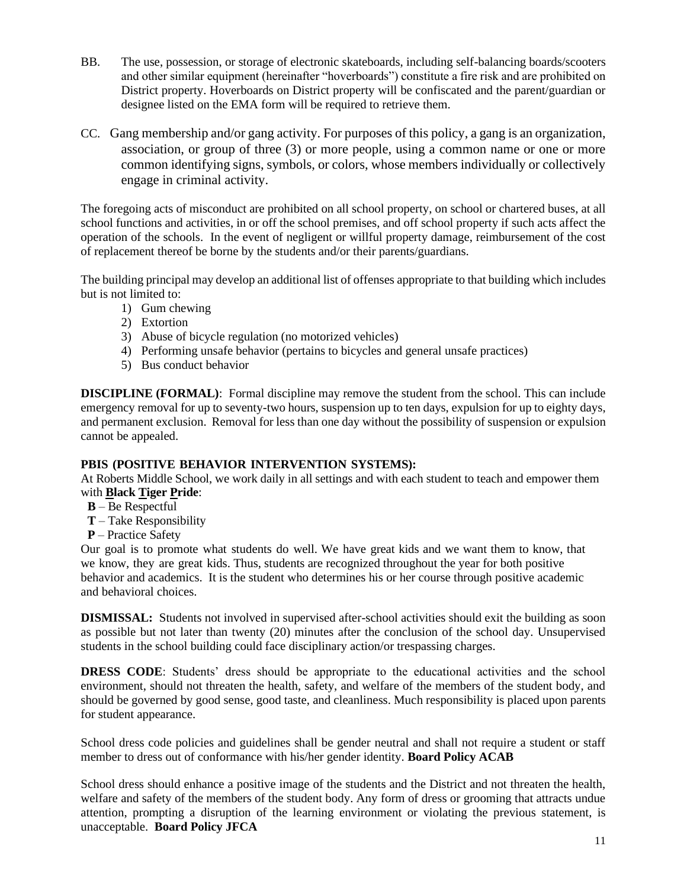- BB. The use, possession, or storage of electronic skateboards, including self-balancing boards/scooters and other similar equipment (hereinafter "hoverboards") constitute a fire risk and are prohibited on District property. Hoverboards on District property will be confiscated and the parent/guardian or designee listed on the EMA form will be required to retrieve them.
- CC. Gang membership and/or gang activity. For purposes of this policy, a gang is an organization, association, or group of three (3) or more people, using a common name or one or more common identifying signs, symbols, or colors, whose members individually or collectively engage in criminal activity.

The foregoing acts of misconduct are prohibited on all school property, on school or chartered buses, at all school functions and activities, in or off the school premises, and off school property if such acts affect the operation of the schools. In the event of negligent or willful property damage, reimbursement of the cost of replacement thereof be borne by the students and/or their parents/guardians.

The building principal may develop an additional list of offenses appropriate to that building which includes but is not limited to:

- 1) Gum chewing
- 2) Extortion
- 3) Abuse of bicycle regulation (no motorized vehicles)
- 4) Performing unsafe behavior (pertains to bicycles and general unsafe practices)
- 5) Bus conduct behavior

**DISCIPLINE (FORMAL)**: Formal discipline may remove the student from the school. This can include emergency removal for up to seventy-two hours, suspension up to ten days, expulsion for up to eighty days, and permanent exclusion. Removal for less than one day without the possibility of suspension or expulsion cannot be appealed.

# **PBIS (POSITIVE BEHAVIOR INTERVENTION SYSTEMS):**

At Roberts Middle School, we work daily in all settings and with each student to teach and empower them with **Black Tiger Pride**:

- **B** Be Respectful
- **T** Take Responsibility
- **P** Practice Safety

Our goal is to promote what students do well. We have great kids and we want them to know, that we know, they are great kids. Thus, students are recognized throughout the year for both positive behavior and academics. It is the student who determines his or her course through positive academic and behavioral choices.

**DISMISSAL:** Students not involved in supervised after-school activities should exit the building as soon as possible but not later than twenty (20) minutes after the conclusion of the school day. Unsupervised students in the school building could face disciplinary action/or trespassing charges.

**DRESS CODE:** Students' dress should be appropriate to the educational activities and the school environment, should not threaten the health, safety, and welfare of the members of the student body, and should be governed by good sense, good taste, and cleanliness. Much responsibility is placed upon parents for student appearance.

School dress code policies and guidelines shall be gender neutral and shall not require a student or staff member to dress out of conformance with his/her gender identity. **Board Policy ACAB**

School dress should enhance a positive image of the students and the District and not threaten the health, welfare and safety of the members of the student body. Any form of dress or grooming that attracts undue attention, prompting a disruption of the learning environment or violating the previous statement, is unacceptable. **Board Policy JFCA**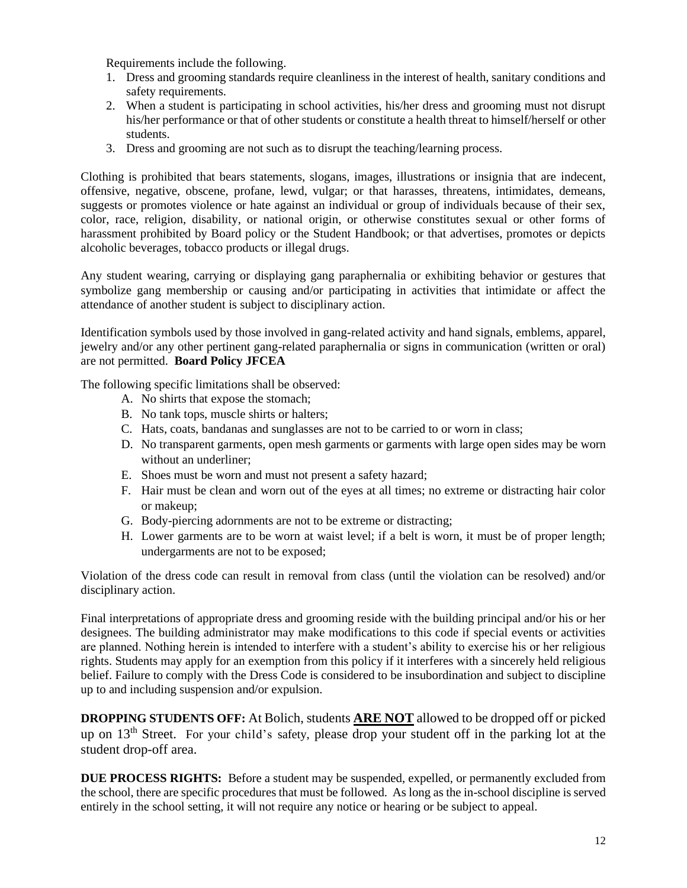Requirements include the following.

- 1. Dress and grooming standards require cleanliness in the interest of health, sanitary conditions and safety requirements.
- 2. When a student is participating in school activities, his/her dress and grooming must not disrupt his/her performance or that of other students or constitute a health threat to himself/herself or other students.
- 3. Dress and grooming are not such as to disrupt the teaching/learning process.

Clothing is prohibited that bears statements, slogans, images, illustrations or insignia that are indecent, offensive, negative, obscene, profane, lewd, vulgar; or that harasses, threatens, intimidates, demeans, suggests or promotes violence or hate against an individual or group of individuals because of their sex, color, race, religion, disability, or national origin, or otherwise constitutes sexual or other forms of harassment prohibited by Board policy or the Student Handbook; or that advertises, promotes or depicts alcoholic beverages, tobacco products or illegal drugs.

Any student wearing, carrying or displaying gang paraphernalia or exhibiting behavior or gestures that symbolize gang membership or causing and/or participating in activities that intimidate or affect the attendance of another student is subject to disciplinary action.

Identification symbols used by those involved in gang-related activity and hand signals, emblems, apparel, jewelry and/or any other pertinent gang-related paraphernalia or signs in communication (written or oral) are not permitted. **Board Policy JFCEA**

The following specific limitations shall be observed:

- A. No shirts that expose the stomach;
- B. No tank tops, muscle shirts or halters;
- C. Hats, coats, bandanas and sunglasses are not to be carried to or worn in class;
- D. No transparent garments, open mesh garments or garments with large open sides may be worn without an underliner;
- E. Shoes must be worn and must not present a safety hazard;
- F. Hair must be clean and worn out of the eyes at all times; no extreme or distracting hair color or makeup;
- G. Body-piercing adornments are not to be extreme or distracting;
- H. Lower garments are to be worn at waist level; if a belt is worn, it must be of proper length; undergarments are not to be exposed;

Violation of the dress code can result in removal from class (until the violation can be resolved) and/or disciplinary action.

Final interpretations of appropriate dress and grooming reside with the building principal and/or his or her designees. The building administrator may make modifications to this code if special events or activities are planned. Nothing herein is intended to interfere with a student's ability to exercise his or her religious rights. Students may apply for an exemption from this policy if it interferes with a sincerely held religious belief. Failure to comply with the Dress Code is considered to be insubordination and subject to discipline up to and including suspension and/or expulsion.

**DROPPING STUDENTS OFF:** At Bolich, students **ARE NOT** allowed to be dropped off or picked up on 13<sup>th</sup> Street. For your child's safety, please drop your student off in the parking lot at the student drop-off area.

**DUE PROCESS RIGHTS:** Before a student may be suspended, expelled, or permanently excluded from the school, there are specific procedures that must be followed. As long as the in-school discipline is served entirely in the school setting, it will not require any notice or hearing or be subject to appeal.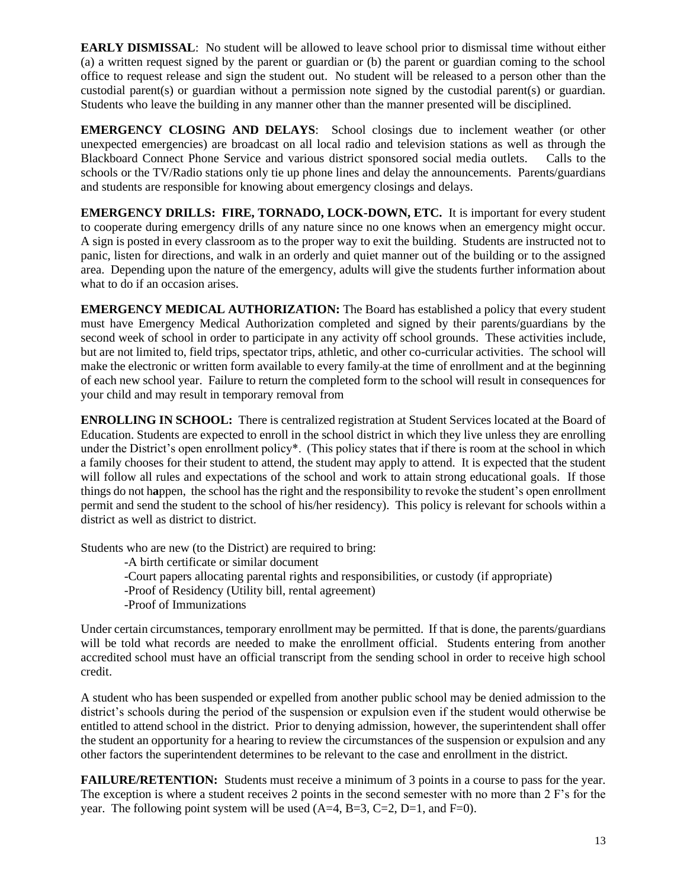**EARLY DISMISSAL**: No student will be allowed to leave school prior to dismissal time without either (a) a written request signed by the parent or guardian or (b) the parent or guardian coming to the school office to request release and sign the student out. No student will be released to a person other than the custodial parent(s) or guardian without a permission note signed by the custodial parent(s) or guardian. Students who leave the building in any manner other than the manner presented will be disciplined.

**EMERGENCY CLOSING AND DELAYS**: School closings due to inclement weather (or other unexpected emergencies) are broadcast on all local radio and television stations as well as through the Blackboard Connect Phone Service and various district sponsored social media outlets. Calls to the schools or the TV/Radio stations only tie up phone lines and delay the announcements. Parents/guardians and students are responsible for knowing about emergency closings and delays.

**EMERGENCY DRILLS: FIRE, TORNADO, LOCK-DOWN, ETC.** It is important for every student to cooperate during emergency drills of any nature since no one knows when an emergency might occur. A sign is posted in every classroom as to the proper way to exit the building. Students are instructed not to panic, listen for directions, and walk in an orderly and quiet manner out of the building or to the assigned area. Depending upon the nature of the emergency, adults will give the students further information about what to do if an occasion arises.

**EMERGENCY MEDICAL AUTHORIZATION:** The Board has established a policy that every student must have Emergency Medical Authorization completed and signed by their parents/guardians by the second week of school in order to participate in any activity off school grounds. These activities include, but are not limited to, field trips, spectator trips, athletic, and other co-curricular activities. The school will make the electronic or written form available to every family at the time of enrollment and at the beginning of each new school year. Failure to return the completed form to the school will result in consequences for your child and may result in temporary removal from

**ENROLLING IN SCHOOL:** There is centralized registration at Student Services located at the Board of Education. Students are expected to enroll in the school district in which they live unless they are enrolling under the District's open enrollment policy\*. (This policy states that if there is room at the school in which a family chooses for their student to attend, the student may apply to attend. It is expected that the student will follow all rules and expectations of the school and work to attain strong educational goals. If those things do not h**a**ppen, the school has the right and the responsibility to revoke the student's open enrollment permit and send the student to the school of his/her residency). This policy is relevant for schools within a district as well as district to district.

Students who are new (to the District) are required to bring:

-A birth certificate or similar document

- -Court papers allocating parental rights and responsibilities, or custody (if appropriate)
- -Proof of Residency (Utility bill, rental agreement)
- -Proof of Immunizations

Under certain circumstances, temporary enrollment may be permitted. If that is done, the parents/guardians will be told what records are needed to make the enrollment official. Students entering from another accredited school must have an official transcript from the sending school in order to receive high school credit.

A student who has been suspended or expelled from another public school may be denied admission to the district's schools during the period of the suspension or expulsion even if the student would otherwise be entitled to attend school in the district. Prior to denying admission, however, the superintendent shall offer the student an opportunity for a hearing to review the circumstances of the suspension or expulsion and any other factors the superintendent determines to be relevant to the case and enrollment in the district.

**FAILURE/RETENTION:** Students must receive a minimum of 3 points in a course to pass for the year. The exception is where a student receives 2 points in the second semester with no more than 2 F's for the year. The following point system will be used  $(A=4, B=3, C=2, D=1, and F=0)$ .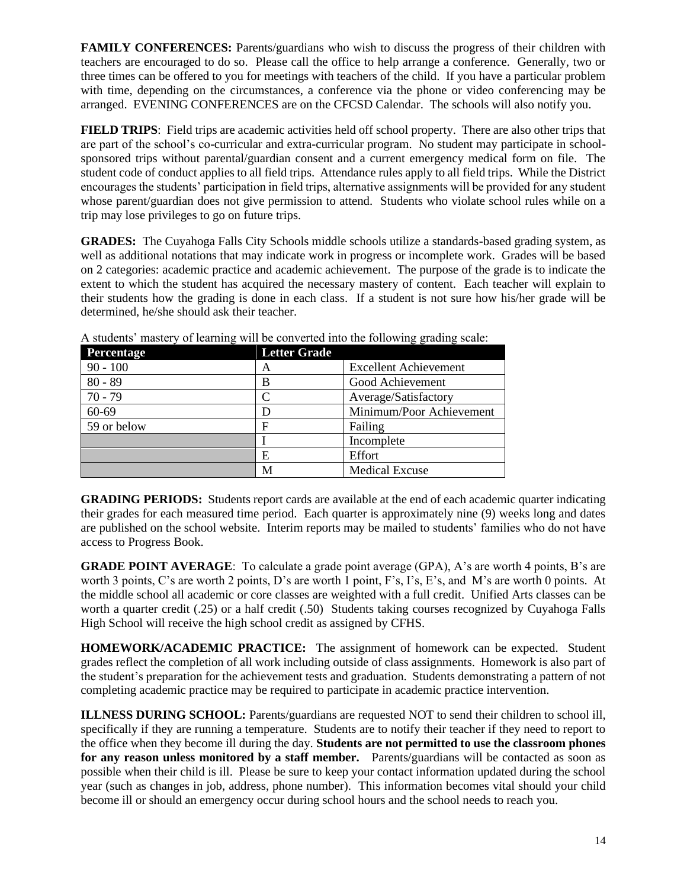**FAMILY CONFERENCES:** Parents/guardians who wish to discuss the progress of their children with teachers are encouraged to do so. Please call the office to help arrange a conference. Generally, two or three times can be offered to you for meetings with teachers of the child. If you have a particular problem with time, depending on the circumstances, a conference via the phone or video conferencing may be arranged. EVENING CONFERENCES are on the CFCSD Calendar. The schools will also notify you.

**FIELD TRIPS**: Field trips are academic activities held off school property. There are also other trips that are part of the school's co-curricular and extra-curricular program. No student may participate in schoolsponsored trips without parental/guardian consent and a current emergency medical form on file. The student code of conduct applies to all field trips. Attendance rules apply to all field trips. While the District encourages the students' participation in field trips, alternative assignments will be provided for any student whose parent/guardian does not give permission to attend. Students who violate school rules while on a trip may lose privileges to go on future trips.

**GRADES:** The Cuyahoga Falls City Schools middle schools utilize a standards-based grading system, as well as additional notations that may indicate work in progress or incomplete work. Grades will be based on 2 categories: academic practice and academic achievement. The purpose of the grade is to indicate the extent to which the student has acquired the necessary mastery of content. Each teacher will explain to their students how the grading is done in each class. If a student is not sure how his/her grade will be determined, he/she should ask their teacher.

| Percentage  | <b>Letter Grade</b> |                              |
|-------------|---------------------|------------------------------|
| $90 - 100$  | A                   | <b>Excellent Achievement</b> |
| $80 - 89$   | B                   | Good Achievement             |
| $70 - 79$   |                     | Average/Satisfactory         |
| 60-69       |                     | Minimum/Poor Achievement     |
| 59 or below | F                   | Failing                      |
|             |                     | Incomplete                   |
|             | E                   | Effort                       |
|             | M                   | <b>Medical Excuse</b>        |

A students' mastery of learning will be converted into the following grading scale:

**GRADING PERIODS:** Students report cards are available at the end of each academic quarter indicating their grades for each measured time period. Each quarter is approximately nine (9) weeks long and dates are published on the school website. Interim reports may be mailed to students' families who do not have access to Progress Book.

**GRADE POINT AVERAGE**: To calculate a grade point average (GPA), A's are worth 4 points, B's are worth 3 points, C's are worth 2 points, D's are worth 1 point, F's, I's, E's, and M's are worth 0 points. At the middle school all academic or core classes are weighted with a full credit. Unified Arts classes can be worth a quarter credit (.25) or a half credit (.50) Students taking courses recognized by Cuyahoga Falls High School will receive the high school credit as assigned by CFHS.

**HOMEWORK/ACADEMIC PRACTICE:** The assignment of homework can be expected. Student grades reflect the completion of all work including outside of class assignments. Homework is also part of the student's preparation for the achievement tests and graduation. Students demonstrating a pattern of not completing academic practice may be required to participate in academic practice intervention.

**ILLNESS DURING SCHOOL:** Parents/guardians are requested NOT to send their children to school ill, specifically if they are running a temperature. Students are to notify their teacher if they need to report to the office when they become ill during the day. **Students are not permitted to use the classroom phones for any reason unless monitored by a staff member.** Parents/guardians will be contacted as soon as possible when their child is ill. Please be sure to keep your contact information updated during the school year (such as changes in job, address, phone number). This information becomes vital should your child become ill or should an emergency occur during school hours and the school needs to reach you.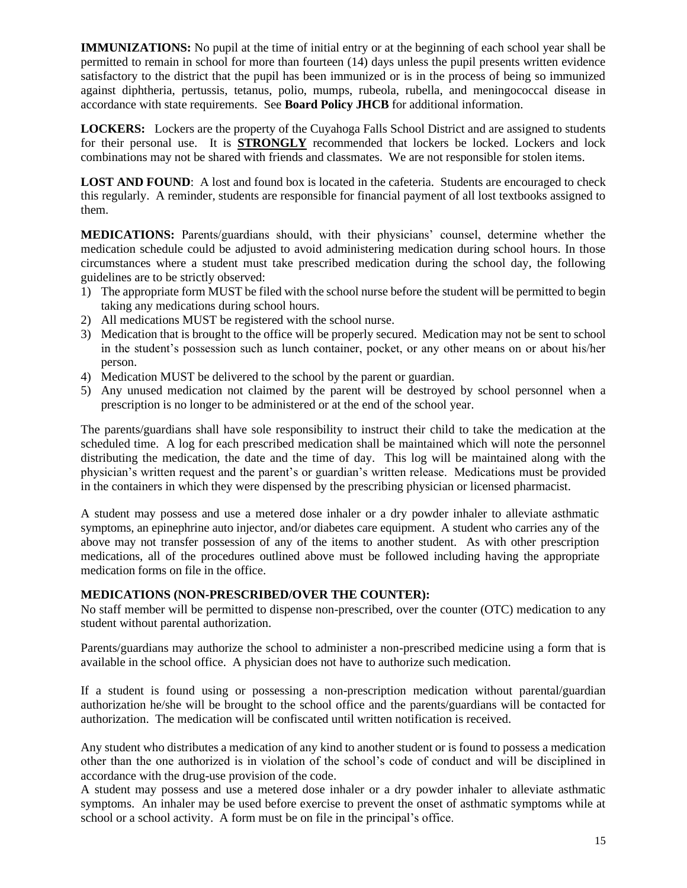**IMMUNIZATIONS:** No pupil at the time of initial entry or at the beginning of each school year shall be permitted to remain in school for more than fourteen (14) days unless the pupil presents written evidence satisfactory to the district that the pupil has been immunized or is in the process of being so immunized against diphtheria, pertussis, tetanus, polio, mumps, rubeola, rubella, and meningococcal disease in accordance with state requirements. See **Board Policy JHCB** for additional information.

**LOCKERS:** Lockers are the property of the Cuyahoga Falls School District and are assigned to students for their personal use. It is **STRONGLY** recommended that lockers be locked. Lockers and lock combinations may not be shared with friends and classmates. We are not responsible for stolen items.

**LOST AND FOUND:** A lost and found box is located in the cafeteria. Students are encouraged to check this regularly. A reminder, students are responsible for financial payment of all lost textbooks assigned to them.

**MEDICATIONS:** Parents/guardians should, with their physicians' counsel, determine whether the medication schedule could be adjusted to avoid administering medication during school hours. In those circumstances where a student must take prescribed medication during the school day, the following guidelines are to be strictly observed:

- 1) The appropriate form MUST be filed with the school nurse before the student will be permitted to begin taking any medications during school hours.
- 2) All medications MUST be registered with the school nurse.
- 3) Medication that is brought to the office will be properly secured. Medication may not be sent to school in the student's possession such as lunch container, pocket, or any other means on or about his/her person.
- 4) Medication MUST be delivered to the school by the parent or guardian.
- 5) Any unused medication not claimed by the parent will be destroyed by school personnel when a prescription is no longer to be administered or at the end of the school year.

The parents/guardians shall have sole responsibility to instruct their child to take the medication at the scheduled time. A log for each prescribed medication shall be maintained which will note the personnel distributing the medication, the date and the time of day. This log will be maintained along with the physician's written request and the parent's or guardian's written release. Medications must be provided in the containers in which they were dispensed by the prescribing physician or licensed pharmacist.

A student may possess and use a metered dose inhaler or a dry powder inhaler to alleviate asthmatic symptoms, an epinephrine auto injector, and/or diabetes care equipment. A student who carries any of the above may not transfer possession of any of the items to another student. As with other prescription medications, all of the procedures outlined above must be followed including having the appropriate medication forms on file in the office.

# **MEDICATIONS (NON-PRESCRIBED/OVER THE COUNTER):**

No staff member will be permitted to dispense non-prescribed, over the counter (OTC) medication to any student without parental authorization.

Parents/guardians may authorize the school to administer a non-prescribed medicine using a form that is available in the school office. A physician does not have to authorize such medication.

If a student is found using or possessing a non-prescription medication without parental/guardian authorization he/she will be brought to the school office and the parents/guardians will be contacted for authorization. The medication will be confiscated until written notification is received.

Any student who distributes a medication of any kind to another student or is found to possess a medication other than the one authorized is in violation of the school's code of conduct and will be disciplined in accordance with the drug-use provision of the code.

A student may possess and use a metered dose inhaler or a dry powder inhaler to alleviate asthmatic symptoms. An inhaler may be used before exercise to prevent the onset of asthmatic symptoms while at school or a school activity. A form must be on file in the principal's office.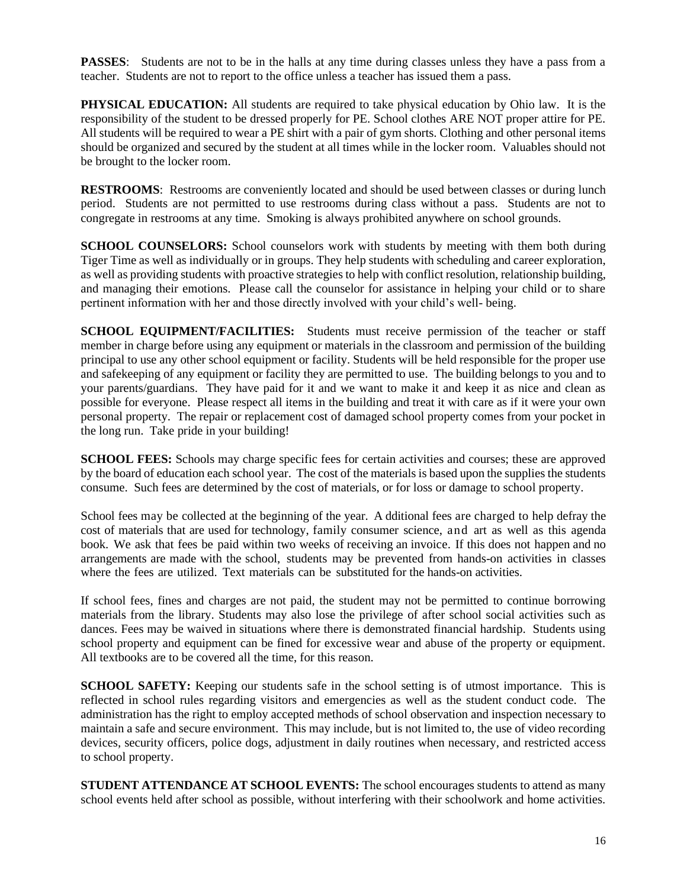**PASSES:** Students are not to be in the halls at any time during classes unless they have a pass from a teacher. Students are not to report to the office unless a teacher has issued them a pass.

**PHYSICAL EDUCATION:** All students are required to take physical education by Ohio law. It is the responsibility of the student to be dressed properly for PE. School clothes ARE NOT proper attire for PE. All students will be required to wear a PE shirt with a pair of gym shorts. Clothing and other personal items should be organized and secured by the student at all times while in the locker room. Valuables should not be brought to the locker room.

**RESTROOMS**: Restrooms are conveniently located and should be used between classes or during lunch period. Students are not permitted to use restrooms during class without a pass. Students are not to congregate in restrooms at any time. Smoking is always prohibited anywhere on school grounds.

**SCHOOL COUNSELORS:** School counselors work with students by meeting with them both during Tiger Time as well as individually or in groups. They help students with scheduling and career exploration, as well as providing students with proactive strategies to help with conflict resolution, relationship building, and managing their emotions. Please call the counselor for assistance in helping your child or to share pertinent information with her and those directly involved with your child's well- being.

**SCHOOL EQUIPMENT/FACILITIES:** Students must receive permission of the teacher or staff member in charge before using any equipment or materials in the classroom and permission of the building principal to use any other school equipment or facility. Students will be held responsible for the proper use and safekeeping of any equipment or facility they are permitted to use. The building belongs to you and to your parents/guardians. They have paid for it and we want to make it and keep it as nice and clean as possible for everyone. Please respect all items in the building and treat it with care as if it were your own personal property. The repair or replacement cost of damaged school property comes from your pocket in the long run. Take pride in your building!

**SCHOOL FEES:** Schools may charge specific fees for certain activities and courses; these are approved by the board of education each school year. The cost of the materials is based upon the supplies the students consume. Such fees are determined by the cost of materials, or for loss or damage to school property.

School fees may be collected at the beginning of the year. A dditional fees are charged to help defray the cost of materials that are used for technology, family consumer science, and art as well as this agenda book. We ask that fees be paid within two weeks of receiving an invoice. If this does not happen and no arrangements are made with the school, students may be prevented from hands-on activities in classes where the fees are utilized. Text materials can be substituted for the hands-on activities.

If school fees, fines and charges are not paid, the student may not be permitted to continue borrowing materials from the library. Students may also lose the privilege of after school social activities such as dances. Fees may be waived in situations where there is demonstrated financial hardship. Students using school property and equipment can be fined for excessive wear and abuse of the property or equipment. All textbooks are to be covered all the time, for this reason.

**SCHOOL SAFETY:** Keeping our students safe in the school setting is of utmost importance. This is reflected in school rules regarding visitors and emergencies as well as the student conduct code. The administration has the right to employ accepted methods of school observation and inspection necessary to maintain a safe and secure environment. This may include, but is not limited to, the use of video recording devices, security officers, police dogs, adjustment in daily routines when necessary, and restricted access to school property.

**STUDENT ATTENDANCE AT SCHOOL EVENTS:** The school encourages students to attend as many school events held after school as possible, without interfering with their schoolwork and home activities.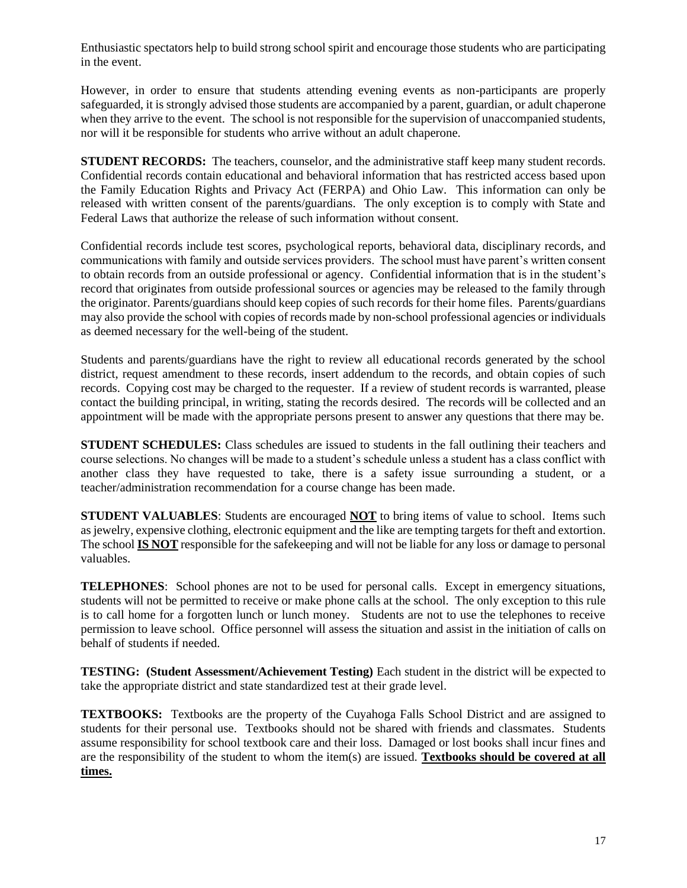Enthusiastic spectators help to build strong school spirit and encourage those students who are participating in the event.

However, in order to ensure that students attending evening events as non-participants are properly safeguarded, it is strongly advised those students are accompanied by a parent, guardian, or adult chaperone when they arrive to the event. The school is not responsible for the supervision of unaccompanied students, nor will it be responsible for students who arrive without an adult chaperone.

**STUDENT RECORDS:** The teachers, counselor, and the administrative staff keep many student records. Confidential records contain educational and behavioral information that has restricted access based upon the Family Education Rights and Privacy Act (FERPA) and Ohio Law. This information can only be released with written consent of the parents/guardians. The only exception is to comply with State and Federal Laws that authorize the release of such information without consent.

Confidential records include test scores, psychological reports, behavioral data, disciplinary records, and communications with family and outside services providers. The school must have parent's written consent to obtain records from an outside professional or agency. Confidential information that is in the student's record that originates from outside professional sources or agencies may be released to the family through the originator. Parents/guardians should keep copies of such records for their home files. Parents/guardians may also provide the school with copies of records made by non-school professional agencies or individuals as deemed necessary for the well-being of the student.

Students and parents/guardians have the right to review all educational records generated by the school district, request amendment to these records, insert addendum to the records, and obtain copies of such records. Copying cost may be charged to the requester. If a review of student records is warranted, please contact the building principal, in writing, stating the records desired. The records will be collected and an appointment will be made with the appropriate persons present to answer any questions that there may be.

**STUDENT SCHEDULES:** Class schedules are issued to students in the fall outlining their teachers and course selections. No changes will be made to a student's schedule unless a student has a class conflict with another class they have requested to take, there is a safety issue surrounding a student, or a teacher/administration recommendation for a course change has been made.

**STUDENT VALUABLES**: Students are encouraged **NOT** to bring items of value to school. Items such as jewelry, expensive clothing, electronic equipment and the like are tempting targets for theft and extortion. The school **IS NOT** responsible for the safekeeping and will not be liable for any loss or damage to personal valuables.

**TELEPHONES**: School phones are not to be used for personal calls. Except in emergency situations, students will not be permitted to receive or make phone calls at the school. The only exception to this rule is to call home for a forgotten lunch or lunch money. Students are not to use the telephones to receive permission to leave school. Office personnel will assess the situation and assist in the initiation of calls on behalf of students if needed.

**TESTING: (Student Assessment/Achievement Testing)** Each student in the district will be expected to take the appropriate district and state standardized test at their grade level.

**TEXTBOOKS:** Textbooks are the property of the Cuyahoga Falls School District and are assigned to students for their personal use. Textbooks should not be shared with friends and classmates. Students assume responsibility for school textbook care and their loss. Damaged or lost books shall incur fines and are the responsibility of the student to whom the item(s) are issued. **Textbooks should be covered at all times.**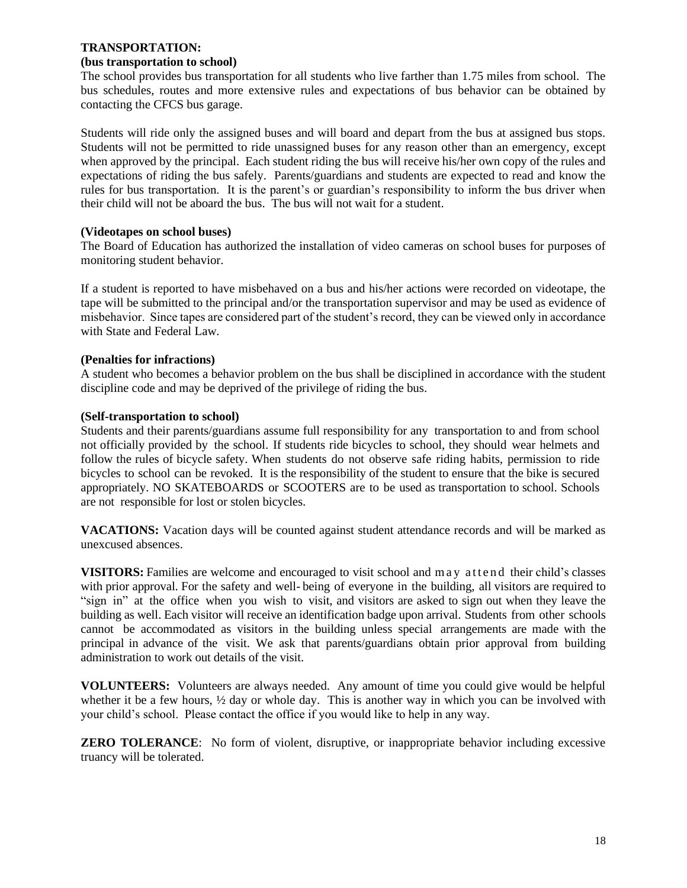# **TRANSPORTATION:**

# **(bus transportation to school)**

The school provides bus transportation for all students who live farther than 1.75 miles from school. The bus schedules, routes and more extensive rules and expectations of bus behavior can be obtained by contacting the CFCS bus garage.

Students will ride only the assigned buses and will board and depart from the bus at assigned bus stops. Students will not be permitted to ride unassigned buses for any reason other than an emergency, except when approved by the principal. Each student riding the bus will receive his/her own copy of the rules and expectations of riding the bus safely. Parents/guardians and students are expected to read and know the rules for bus transportation. It is the parent's or guardian's responsibility to inform the bus driver when their child will not be aboard the bus. The bus will not wait for a student.

# **(Videotapes on school buses)**

The Board of Education has authorized the installation of video cameras on school buses for purposes of monitoring student behavior.

If a student is reported to have misbehaved on a bus and his/her actions were recorded on videotape, the tape will be submitted to the principal and/or the transportation supervisor and may be used as evidence of misbehavior. Since tapes are considered part of the student's record, they can be viewed only in accordance with State and Federal Law.

# **(Penalties for infractions)**

A student who becomes a behavior problem on the bus shall be disciplined in accordance with the student discipline code and may be deprived of the privilege of riding the bus.

# **(Self-transportation to school)**

Students and their parents/guardians assume full responsibility for any transportation to and from school not officially provided by the school. If students ride bicycles to school, they should wear helmets and follow the rules of bicycle safety. When students do not observe safe riding habits, permission to ride bicycles to school can be revoked. It is the responsibility of the student to ensure that the bike is secured appropriately. NO SKATEBOARDS or SCOOTERS are to be used as transportation to school. Schools are not responsible for lost or stolen bicycles.

**VACATIONS:** Vacation days will be counted against student attendance records and will be marked as unexcused absences.

**VISITORS:** Families are welcome and encouraged to visit school and may attend their child's classes with prior approval. For the safety and well- being of everyone in the building, all visitors are required to "sign in" at the office when you wish to visit, and visitors are asked to sign out when they leave the building as well. Each visitor will receive an identification badge upon arrival. Students from other schools cannot be accommodated as visitors in the building unless special arrangements are made with the principal in advance of the visit. We ask that parents/guardians obtain prior approval from building administration to work out details of the visit.

**VOLUNTEERS:** Volunteers are always needed. Any amount of time you could give would be helpful whether it be a few hours,  $\frac{1}{2}$  day or whole day. This is another way in which you can be involved with your child's school. Please contact the office if you would like to help in any way.

**ZERO TOLERANCE:** No form of violent, disruptive, or inappropriate behavior including excessive truancy will be tolerated.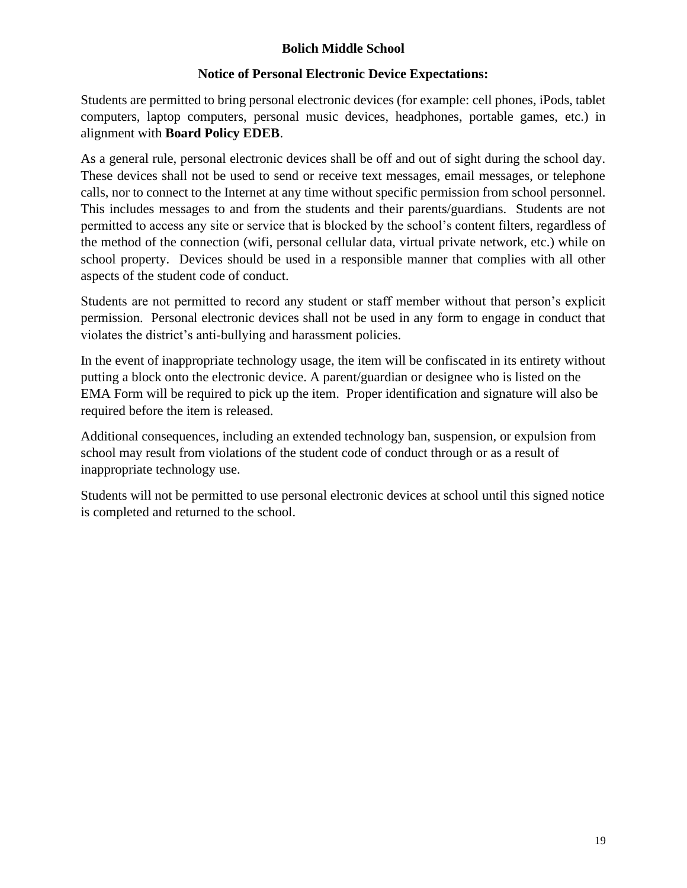# **Bolich Middle School**

# **Notice of Personal Electronic Device Expectations:**

Students are permitted to bring personal electronic devices (for example: cell phones, iPods, tablet computers, laptop computers, personal music devices, headphones, portable games, etc.) in alignment with **Board Policy EDEB**.

As a general rule, personal electronic devices shall be off and out of sight during the school day. These devices shall not be used to send or receive text messages, email messages, or telephone calls, nor to connect to the Internet at any time without specific permission from school personnel. This includes messages to and from the students and their parents/guardians. Students are not permitted to access any site or service that is blocked by the school's content filters, regardless of the method of the connection (wifi, personal cellular data, virtual private network, etc.) while on school property. Devices should be used in a responsible manner that complies with all other aspects of the student code of conduct.

Students are not permitted to record any student or staff member without that person's explicit permission. Personal electronic devices shall not be used in any form to engage in conduct that violates the district's anti-bullying and harassment policies.

In the event of inappropriate technology usage, the item will be confiscated in its entirety without putting a block onto the electronic device. A parent/guardian or designee who is listed on the EMA Form will be required to pick up the item. Proper identification and signature will also be required before the item is released.

Additional consequences, including an extended technology ban, suspension, or expulsion from school may result from violations of the student code of conduct through or as a result of inappropriate technology use.

Students will not be permitted to use personal electronic devices at school until this signed notice is completed and returned to the school.